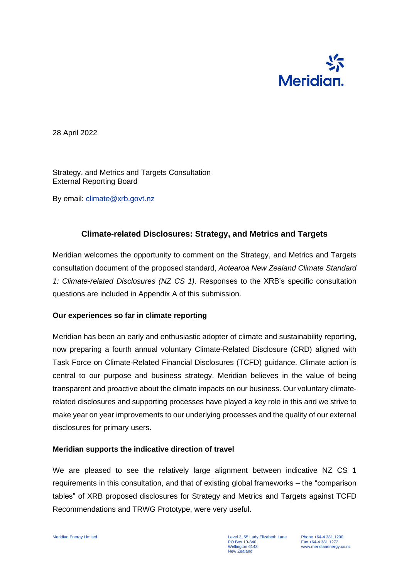

28 April 2022

Strategy, and Metrics and Targets Consultation External Reporting Board

By email: climate@xrb.govt.nz

# **Climate-related Disclosures: Strategy, and Metrics and Targets**

Meridian welcomes the opportunity to comment on the Strategy, and Metrics and Targets consultation document of the proposed standard, *Aotearoa New Zealand Climate Standard 1: Climate-related Disclosures (NZ CS 1)*. Responses to the XRB's specific consultation questions are included in Appendix A of this submission.

## **Our experiences so far in climate reporting**

Meridian has been an early and enthusiastic adopter of climate and sustainability reporting, now preparing a fourth annual voluntary Climate-Related Disclosure (CRD) aligned with Task Force on Climate-Related Financial Disclosures (TCFD) guidance. Climate action is central to our purpose and business strategy. Meridian believes in the value of being transparent and proactive about the climate impacts on our business. Our voluntary climaterelated disclosures and supporting processes have played a key role in this and we strive to make year on year improvements to our underlying processes and the quality of our external disclosures for primary users.

## **Meridian supports the indicative direction of travel**

We are pleased to see the relatively large alignment between indicative NZ CS 1 requirements in this consultation, and that of existing global frameworks – the "comparison tables" of XRB proposed disclosures for Strategy and Metrics and Targets against TCFD Recommendations and TRWG Prototype, were very useful.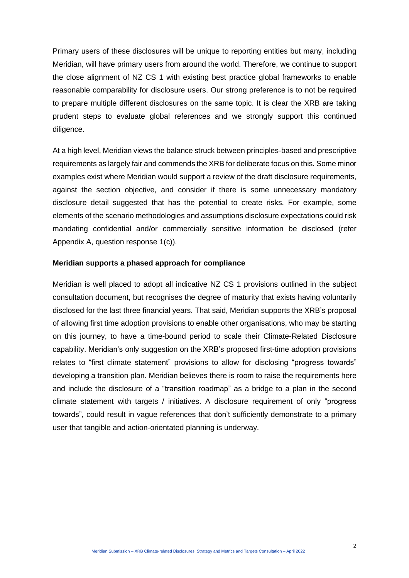Primary users of these disclosures will be unique to reporting entities but many, including Meridian, will have primary users from around the world. Therefore, we continue to support the close alignment of NZ CS 1 with existing best practice global frameworks to enable reasonable comparability for disclosure users. Our strong preference is to not be required to prepare multiple different disclosures on the same topic. It is clear the XRB are taking prudent steps to evaluate global references and we strongly support this continued diligence.

At a high level, Meridian views the balance struck between principles-based and prescriptive requirements as largely fair and commends the XRB for deliberate focus on this. Some minor examples exist where Meridian would support a review of the draft disclosure requirements, against the section objective, and consider if there is some unnecessary mandatory disclosure detail suggested that has the potential to create risks. For example, some elements of the scenario methodologies and assumptions disclosure expectations could risk mandating confidential and/or commercially sensitive information be disclosed (refer Appendix A, question response 1(c)).

#### **Meridian supports a phased approach for compliance**

Meridian is well placed to adopt all indicative NZ CS 1 provisions outlined in the subject consultation document, but recognises the degree of maturity that exists having voluntarily disclosed for the last three financial years. That said, Meridian supports the XRB's proposal of allowing first time adoption provisions to enable other organisations, who may be starting on this journey, to have a time-bound period to scale their Climate-Related Disclosure capability. Meridian's only suggestion on the XRB's proposed first-time adoption provisions relates to "first climate statement" provisions to allow for disclosing "progress towards" developing a transition plan. Meridian believes there is room to raise the requirements here and include the disclosure of a "transition roadmap" as a bridge to a plan in the second climate statement with targets / initiatives. A disclosure requirement of only "progress towards", could result in vague references that don't sufficiently demonstrate to a primary user that tangible and action-orientated planning is underway.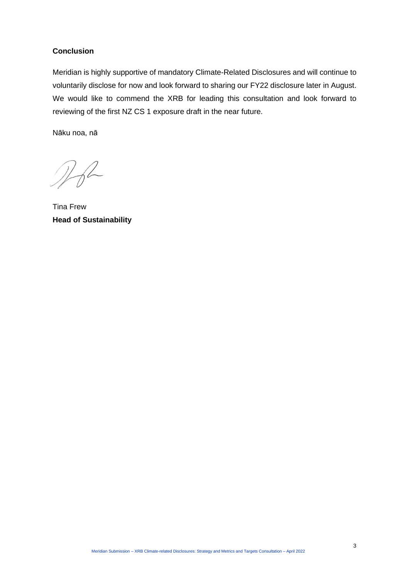# **Conclusion**

Meridian is highly supportive of mandatory Climate-Related Disclosures and will continue to voluntarily disclose for now and look forward to sharing our FY22 disclosure later in August. We would like to commend the XRB for leading this consultation and look forward to reviewing of the first NZ CS 1 exposure draft in the near future.

Nāku noa, nā

 $\n *2 6 2 6 2 6 2 6 2 6 2 6 2 6 2 6 2 6 2 6 2 6 2 6 2 6 2 6 2 6 2* <$ 

Tina Frew **Head of Sustainability**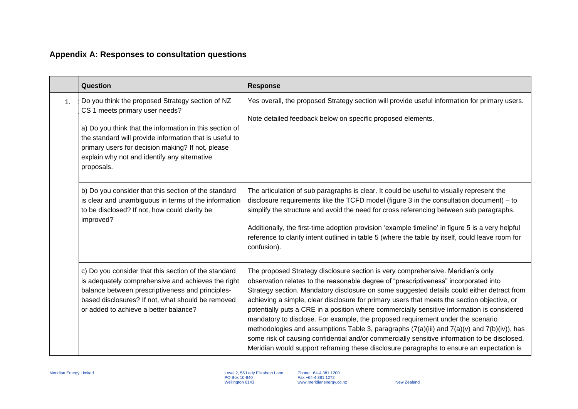# **Appendix A: Responses to consultation questions**

|                | Question                                                                                                                                                                                                                                                                                                                    | <b>Response</b>                                                                                                                                                                                                                                                                                                                                                                                                                                                                                                                                                                                                                                                                                                                                                                                                                                   |
|----------------|-----------------------------------------------------------------------------------------------------------------------------------------------------------------------------------------------------------------------------------------------------------------------------------------------------------------------------|---------------------------------------------------------------------------------------------------------------------------------------------------------------------------------------------------------------------------------------------------------------------------------------------------------------------------------------------------------------------------------------------------------------------------------------------------------------------------------------------------------------------------------------------------------------------------------------------------------------------------------------------------------------------------------------------------------------------------------------------------------------------------------------------------------------------------------------------------|
| $\mathbf{1}$ . | Do you think the proposed Strategy section of NZ<br>CS 1 meets primary user needs?<br>a) Do you think that the information in this section of<br>the standard will provide information that is useful to<br>primary users for decision making? If not, please<br>explain why not and identify any alternative<br>proposals. | Yes overall, the proposed Strategy section will provide useful information for primary users.<br>Note detailed feedback below on specific proposed elements.                                                                                                                                                                                                                                                                                                                                                                                                                                                                                                                                                                                                                                                                                      |
|                | b) Do you consider that this section of the standard<br>is clear and unambiguous in terms of the information<br>to be disclosed? If not, how could clarity be<br>improved?                                                                                                                                                  | The articulation of sub paragraphs is clear. It could be useful to visually represent the<br>disclosure requirements like the TCFD model (figure 3 in the consultation document) – to<br>simplify the structure and avoid the need for cross referencing between sub paragraphs.<br>Additionally, the first-time adoption provision 'example timeline' in figure 5 is a very helpful<br>reference to clarify intent outlined in table 5 (where the table by itself, could leave room for<br>confusion).                                                                                                                                                                                                                                                                                                                                           |
|                | c) Do you consider that this section of the standard<br>is adequately comprehensive and achieves the right<br>balance between prescriptiveness and principles-<br>based disclosures? If not, what should be removed<br>or added to achieve a better balance?                                                                | The proposed Strategy disclosure section is very comprehensive. Meridian's only<br>observation relates to the reasonable degree of "prescriptiveness" incorporated into<br>Strategy section. Mandatory disclosure on some suggested details could either detract from<br>achieving a simple, clear disclosure for primary users that meets the section objective, or<br>potentially puts a CRE in a position where commercially sensitive information is considered<br>mandatory to disclose. For example, the proposed requirement under the scenario<br>methodologies and assumptions Table 3, paragraphs (7(a)(iii) and 7(a)(v) and 7(b)(iv)), has<br>some risk of causing confidential and/or commercially sensitive information to be disclosed.<br>Meridian would support reframing these disclosure paragraphs to ensure an expectation is |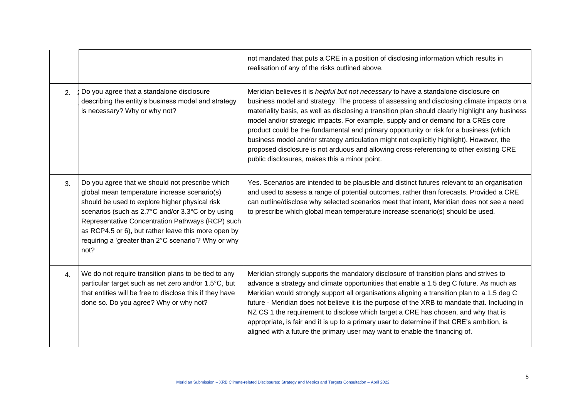|    |                                                                                                                                                                                                                                                                                                                                                                                  | not mandated that puts a CRE in a position of disclosing information which results in<br>realisation of any of the risks outlined above.                                                                                                                                                                                                                                                                                                                                                                                                                                                                                                                                                                             |
|----|----------------------------------------------------------------------------------------------------------------------------------------------------------------------------------------------------------------------------------------------------------------------------------------------------------------------------------------------------------------------------------|----------------------------------------------------------------------------------------------------------------------------------------------------------------------------------------------------------------------------------------------------------------------------------------------------------------------------------------------------------------------------------------------------------------------------------------------------------------------------------------------------------------------------------------------------------------------------------------------------------------------------------------------------------------------------------------------------------------------|
| 2. | Do you agree that a standalone disclosure<br>describing the entity's business model and strategy<br>is necessary? Why or why not?                                                                                                                                                                                                                                                | Meridian believes it is <i>helpful but not necessary</i> to have a standalone disclosure on<br>business model and strategy. The process of assessing and disclosing climate impacts on a<br>materiality basis, as well as disclosing a transition plan should clearly highlight any business<br>model and/or strategic impacts. For example, supply and or demand for a CREs core<br>product could be the fundamental and primary opportunity or risk for a business (which<br>business model and/or strategy articulation might not explicitly highlight). However, the<br>proposed disclosure is not arduous and allowing cross-referencing to other existing CRE<br>public disclosures, makes this a minor point. |
| 3. | Do you agree that we should not prescribe which<br>global mean temperature increase scenario(s)<br>should be used to explore higher physical risk<br>scenarios (such as 2.7°C and/or 3.3°C or by using<br>Representative Concentration Pathways (RCP) such<br>as RCP4.5 or 6), but rather leave this more open by<br>requiring a 'greater than 2°C scenario'? Why or why<br>not? | Yes. Scenarios are intended to be plausible and distinct futures relevant to an organisation<br>and used to assess a range of potential outcomes, rather than forecasts. Provided a CRE<br>can outline/disclose why selected scenarios meet that intent, Meridian does not see a need<br>to prescribe which global mean temperature increase scenario(s) should be used.                                                                                                                                                                                                                                                                                                                                             |
| 4. | We do not require transition plans to be tied to any<br>particular target such as net zero and/or 1.5°C, but<br>that entities will be free to disclose this if they have<br>done so. Do you agree? Why or why not?                                                                                                                                                               | Meridian strongly supports the mandatory disclosure of transition plans and strives to<br>advance a strategy and climate opportunities that enable a 1.5 deg C future. As much as<br>Meridian would strongly support all organisations aligning a transition plan to a 1.5 deg C<br>future - Meridian does not believe it is the purpose of the XRB to mandate that. Including in<br>NZ CS 1 the requirement to disclose which target a CRE has chosen, and why that is<br>appropriate, is fair and it is up to a primary user to determine if that CRE's ambition, is<br>aligned with a future the primary user may want to enable the financing of.                                                                |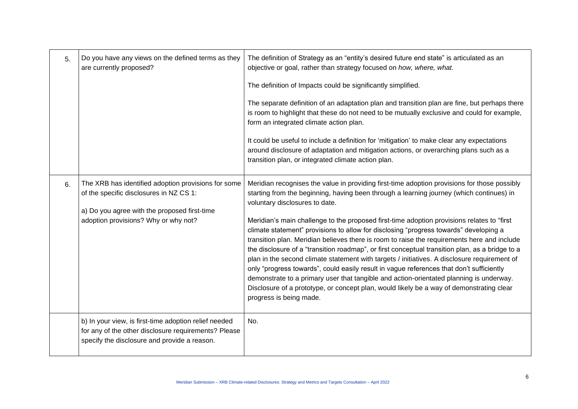| 5. | Do you have any views on the defined terms as they<br>are currently proposed?                                                                                                          | The definition of Strategy as an "entity's desired future end state" is articulated as an<br>objective or goal, rather than strategy focused on how, where, what.<br>The definition of Impacts could be significantly simplified.<br>The separate definition of an adaptation plan and transition plan are fine, but perhaps there<br>is room to highlight that these do not need to be mutually exclusive and could for example,<br>form an integrated climate action plan.<br>It could be useful to include a definition for 'mitigation' to make clear any expectations<br>around disclosure of adaptation and mitigation actions, or overarching plans such as a<br>transition plan, or integrated climate action plan.                                                                                                                                                                                                                                                                                                       |
|----|----------------------------------------------------------------------------------------------------------------------------------------------------------------------------------------|-----------------------------------------------------------------------------------------------------------------------------------------------------------------------------------------------------------------------------------------------------------------------------------------------------------------------------------------------------------------------------------------------------------------------------------------------------------------------------------------------------------------------------------------------------------------------------------------------------------------------------------------------------------------------------------------------------------------------------------------------------------------------------------------------------------------------------------------------------------------------------------------------------------------------------------------------------------------------------------------------------------------------------------|
| 6. | The XRB has identified adoption provisions for some<br>of the specific disclosures in NZ CS 1:<br>a) Do you agree with the proposed first-time<br>adoption provisions? Why or why not? | Meridian recognises the value in providing first-time adoption provisions for those possibly<br>starting from the beginning, having been through a learning journey (which continues) in<br>voluntary disclosures to date.<br>Meridian's main challenge to the proposed first-time adoption provisions relates to "first<br>climate statement" provisions to allow for disclosing "progress towards" developing a<br>transition plan. Meridian believes there is room to raise the requirements here and include<br>the disclosure of a "transition roadmap", or first conceptual transition plan, as a bridge to a<br>plan in the second climate statement with targets / initiatives. A disclosure requirement of<br>only "progress towards", could easily result in vague references that don't sufficiently<br>demonstrate to a primary user that tangible and action-orientated planning is underway.<br>Disclosure of a prototype, or concept plan, would likely be a way of demonstrating clear<br>progress is being made. |
|    | b) In your view, is first-time adoption relief needed<br>for any of the other disclosure requirements? Please<br>specify the disclosure and provide a reason.                          | No.                                                                                                                                                                                                                                                                                                                                                                                                                                                                                                                                                                                                                                                                                                                                                                                                                                                                                                                                                                                                                               |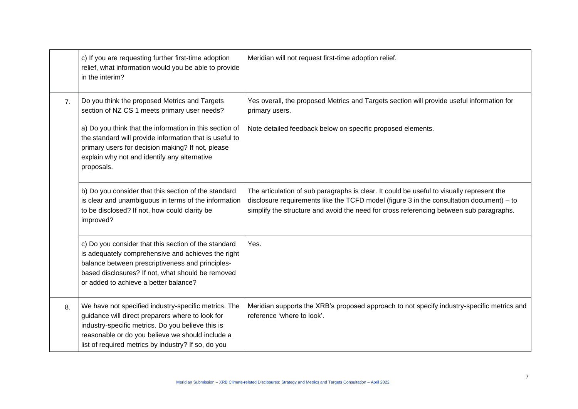|                | c) If you are requesting further first-time adoption<br>relief, what information would you be able to provide<br>in the interim?                                                                                                                                         | Meridian will not request first-time adoption relief.                                                                                                                                                                                                                            |
|----------------|--------------------------------------------------------------------------------------------------------------------------------------------------------------------------------------------------------------------------------------------------------------------------|----------------------------------------------------------------------------------------------------------------------------------------------------------------------------------------------------------------------------------------------------------------------------------|
| 7 <sub>1</sub> | Do you think the proposed Metrics and Targets<br>section of NZ CS 1 meets primary user needs?                                                                                                                                                                            | Yes overall, the proposed Metrics and Targets section will provide useful information for<br>primary users.                                                                                                                                                                      |
|                | a) Do you think that the information in this section of<br>the standard will provide information that is useful to<br>primary users for decision making? If not, please<br>explain why not and identify any alternative<br>proposals.                                    | Note detailed feedback below on specific proposed elements.                                                                                                                                                                                                                      |
|                | b) Do you consider that this section of the standard<br>is clear and unambiguous in terms of the information<br>to be disclosed? If not, how could clarity be<br>improved?                                                                                               | The articulation of sub paragraphs is clear. It could be useful to visually represent the<br>disclosure requirements like the TCFD model (figure 3 in the consultation document) - to<br>simplify the structure and avoid the need for cross referencing between sub paragraphs. |
|                | c) Do you consider that this section of the standard<br>is adequately comprehensive and achieves the right<br>balance between prescriptiveness and principles-<br>based disclosures? If not, what should be removed<br>or added to achieve a better balance?             | Yes.                                                                                                                                                                                                                                                                             |
| 8.             | We have not specified industry-specific metrics. The<br>guidance will direct preparers where to look for<br>industry-specific metrics. Do you believe this is<br>reasonable or do you believe we should include a<br>list of required metrics by industry? If so, do you | Meridian supports the XRB's proposed approach to not specify industry-specific metrics and<br>reference 'where to look'.                                                                                                                                                         |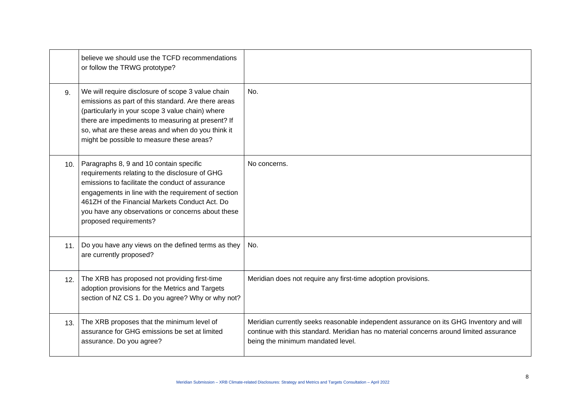|     | believe we should use the TCFD recommendations<br>or follow the TRWG prototype?                                                                                                                                                                                                                                                       |                                                                                                                                                                                                                         |
|-----|---------------------------------------------------------------------------------------------------------------------------------------------------------------------------------------------------------------------------------------------------------------------------------------------------------------------------------------|-------------------------------------------------------------------------------------------------------------------------------------------------------------------------------------------------------------------------|
| 9.  | We will require disclosure of scope 3 value chain<br>emissions as part of this standard. Are there areas<br>(particularly in your scope 3 value chain) where<br>there are impediments to measuring at present? If<br>so, what are these areas and when do you think it<br>might be possible to measure these areas?                   | No.                                                                                                                                                                                                                     |
| 10. | Paragraphs 8, 9 and 10 contain specific<br>requirements relating to the disclosure of GHG<br>emissions to facilitate the conduct of assurance<br>engagements in line with the requirement of section<br>461ZH of the Financial Markets Conduct Act. Do<br>you have any observations or concerns about these<br>proposed requirements? | No concerns.                                                                                                                                                                                                            |
| 11. | Do you have any views on the defined terms as they<br>are currently proposed?                                                                                                                                                                                                                                                         | No.                                                                                                                                                                                                                     |
| 12. | The XRB has proposed not providing first-time<br>adoption provisions for the Metrics and Targets<br>section of NZ CS 1. Do you agree? Why or why not?                                                                                                                                                                                 | Meridian does not require any first-time adoption provisions.                                                                                                                                                           |
| 13. | The XRB proposes that the minimum level of<br>assurance for GHG emissions be set at limited<br>assurance. Do you agree?                                                                                                                                                                                                               | Meridian currently seeks reasonable independent assurance on its GHG Inventory and will<br>continue with this standard. Meridian has no material concerns around limited assurance<br>being the minimum mandated level. |